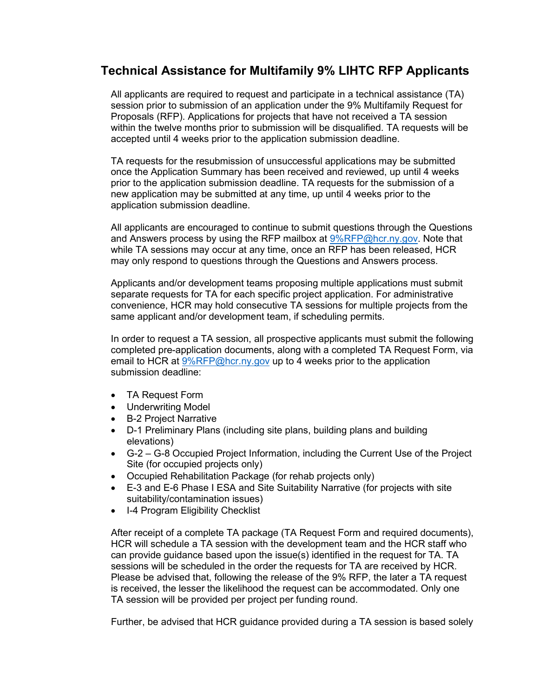# **Technical Assistance for Multifamily 9% LIHTC RFP Applicants**

All applicants are required to request and participate in a technical assistance (TA) session prior to submission of an application under the 9% Multifamily Request for Proposals (RFP). Applications for projects that have not received a TA session within the twelve months prior to submission will be disqualified. TA requests will be accepted until 4 weeks prior to the application submission deadline.

TA requests for the resubmission of unsuccessful applications may be submitted once the Application Summary has been received and reviewed, up until 4 weeks prior to the application submission deadline. TA requests for the submission of a new application may be submitted at any time, up until 4 weeks prior to the application submission deadline.

All applicants are encouraged to continue to submit questions through the Questions and Answers process by using the RFP mailbox at [9%RFP@hcr.ny.gov.](mailto:9%25RFP@hcr.ny.gov) Note that while TA sessions may occur at any time, once an RFP has been released, HCR may only respond to questions through the Questions and Answers process.

Applicants and/or development teams proposing multiple applications must submit separate requests for TA for each specific project application. For administrative convenience, HCR may hold consecutive TA sessions for multiple projects from the same applicant and/or development team, if scheduling permits.

In order to request a TA session, all prospective applicants must submit the following completed pre-application documents, along with a completed TA Request Form, via email to HCR at  $9\%$ RFP@hcr.ny.gov up to 4 weeks prior to the application submission deadline:

- TA Request Form
- Underwriting Model
- B-2 Project Narrative
- D-1 Preliminary Plans (including site plans, building plans and building elevations)
- G-2 G-8 Occupied Project Information, including the Current Use of the Project Site (for occupied projects only)
- Occupied Rehabilitation Package (for rehab projects only)
- E-3 and E-6 Phase I ESA and Site Suitability Narrative (for projects with site suitability/contamination issues)
- I-4 Program Eligibility Checklist

After receipt of a complete TA package (TA Request Form and required documents), HCR will schedule a TA session with the development team and the HCR staff who can provide guidance based upon the issue(s) identified in the request for TA. TA sessions will be scheduled in the order the requests for TA are received by HCR. Please be advised that, following the release of the 9% RFP, the later a TA request is received, the lesser the likelihood the request can be accommodated. Only one TA session will be provided per project per funding round.

Further, be advised that HCR guidance provided during a TA session is based solely